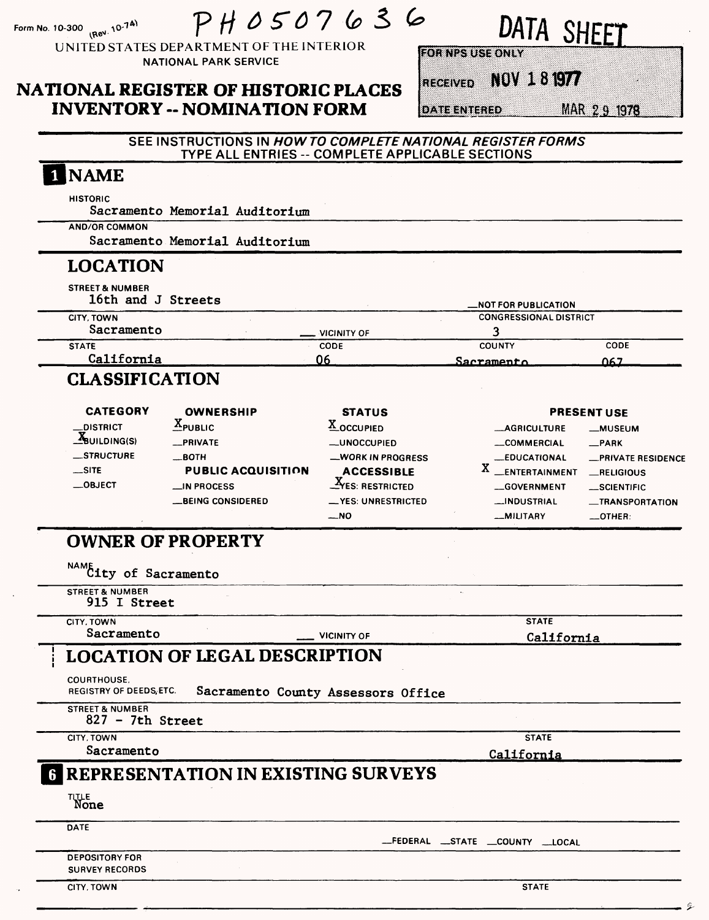| (Rev. 10-74)<br>Form No. 10-300                                                                                                                   | PH0507636<br>UNITED STATES DEPARTMENT OF THE INTERIOR                                                                                                |                                                                                                                                                                                                                                         | DATA SHEET<br><b>FOR NPS USE ONLY</b>                                                                                                       |                                                                                                                                      |
|---------------------------------------------------------------------------------------------------------------------------------------------------|------------------------------------------------------------------------------------------------------------------------------------------------------|-----------------------------------------------------------------------------------------------------------------------------------------------------------------------------------------------------------------------------------------|---------------------------------------------------------------------------------------------------------------------------------------------|--------------------------------------------------------------------------------------------------------------------------------------|
|                                                                                                                                                   | <b>NATIONAL PARK SERVICE</b><br><b>NATIONAL REGISTER OF HISTORIC PLACES</b><br><b>INVENTORY -- NOMINATION FORM</b>                                   |                                                                                                                                                                                                                                         | NOV 181977<br><b>RECEIVED</b><br><b>DATE ENTERED</b>                                                                                        | MAR 29 1978                                                                                                                          |
|                                                                                                                                                   | SEE INSTRUCTIONS IN HOW TO COMPLETE NATIONAL REGISTER FORMS<br>TYPE ALL ENTRIES -- COMPLETE APPLICABLE SECTIONS                                      |                                                                                                                                                                                                                                         |                                                                                                                                             |                                                                                                                                      |
| 1 NAME<br><b>HISTORIC</b><br><b>AND/OR COMMON</b>                                                                                                 | Sacramento Memorial Auditorium<br>Sacramento Memorial Auditorium                                                                                     |                                                                                                                                                                                                                                         |                                                                                                                                             |                                                                                                                                      |
| <b>LOCATION</b>                                                                                                                                   |                                                                                                                                                      |                                                                                                                                                                                                                                         |                                                                                                                                             |                                                                                                                                      |
| <b>STREET &amp; NUMBER</b><br>16th and J Streets<br><b>CITY, TOWN</b><br>Sacramento                                                               |                                                                                                                                                      | VICINITY OF                                                                                                                                                                                                                             | <b>NOT FOR PUBLICATION</b><br><b>CONGRESSIONAL DISTRICT</b><br>3                                                                            |                                                                                                                                      |
| <b>STATE</b><br>California                                                                                                                        |                                                                                                                                                      | <b>CODE</b><br>06                                                                                                                                                                                                                       | <b>COUNTY</b><br>Sacramento                                                                                                                 | CODE<br>በ67                                                                                                                          |
| <b>CLASSIFICATION</b>                                                                                                                             |                                                                                                                                                      |                                                                                                                                                                                                                                         |                                                                                                                                             |                                                                                                                                      |
| <b>CATEGORY</b><br><b>_DISTRICT</b><br>$\frac{X_{\text{BULDING(S)}}}{X_{\text{BULDING(S)}}$<br><b>__STRUCTURE</b><br>$\equiv$ SITE<br>$\_$ OBJECT | <b>OWNERSHIP</b><br>$X_{\text{PUBLIC}}$<br>_PRIVATE<br>$\equiv$ BOTH<br><b>PUBLIC ACQUISITION</b><br>$\equiv$ IN PROCESS<br><b>_BEING CONSIDERED</b> | <b>STATUS</b><br>X_OCCUPIED<br><b>__UNOCCUPIED</b><br>__WORK IN PROGRESS<br><b>ACCESSIBLE</b><br>$\mathbf{y}_{\text{f}}$ $\mathbf{y}_{\text{f}}$ $\mathbf{y}_{\text{f}}$ $\mathbf{y}_{\text{f}}$<br><b>__YES: UNRESTRICTED</b><br>$-NO$ | <b>MAGRICULTURE</b><br><b>__COMMERCIAL</b><br><b>LEDUCATIONAL</b><br><b>ENTERTAINMENT</b><br>GOVERNMENT<br><b>__INDUSTRIAL</b><br>_MILITARY | <b>PRESENT USE</b><br>-MUSEUM<br>$-$ PARK<br>-PRIVATE RESIDENCE<br>RELIGIOUS<br>_SCIENTIFIC<br><b>__TRANSPORTATION</b><br>$-$ OTHER: |
| <b>OWNER OF PROPERTY</b>                                                                                                                          |                                                                                                                                                      |                                                                                                                                                                                                                                         |                                                                                                                                             |                                                                                                                                      |
| NAME City of Sacramento                                                                                                                           |                                                                                                                                                      |                                                                                                                                                                                                                                         |                                                                                                                                             |                                                                                                                                      |
| <b>STREET &amp; NUMBER</b><br>915 I Street                                                                                                        |                                                                                                                                                      |                                                                                                                                                                                                                                         |                                                                                                                                             |                                                                                                                                      |
| CITY, TOWN                                                                                                                                        |                                                                                                                                                      |                                                                                                                                                                                                                                         | <b>STATE</b>                                                                                                                                |                                                                                                                                      |
| Sacramento                                                                                                                                        |                                                                                                                                                      | <b>VICINITY OF</b>                                                                                                                                                                                                                      | California                                                                                                                                  |                                                                                                                                      |
| <b>COURTHOUSE.</b><br><b>REGISTRY OF DEEDS, ETC.</b>                                                                                              | <b>LOCATION OF LEGAL DESCRIPTION</b>                                                                                                                 | Sacramento County Assessors Office                                                                                                                                                                                                      |                                                                                                                                             |                                                                                                                                      |
| <b>STREET &amp; NUMBER</b><br>$827 - 7th$ Street                                                                                                  |                                                                                                                                                      |                                                                                                                                                                                                                                         |                                                                                                                                             |                                                                                                                                      |
| CITY, TOWN<br>Sacramento                                                                                                                          |                                                                                                                                                      |                                                                                                                                                                                                                                         | <b>STATE</b>                                                                                                                                |                                                                                                                                      |
|                                                                                                                                                   | <b>G REPRESENTATION IN EXISTING SURVEYS</b>                                                                                                          |                                                                                                                                                                                                                                         | <b>California</b>                                                                                                                           |                                                                                                                                      |
| TITLE<br>None                                                                                                                                     |                                                                                                                                                      |                                                                                                                                                                                                                                         |                                                                                                                                             |                                                                                                                                      |
| DATE                                                                                                                                              |                                                                                                                                                      |                                                                                                                                                                                                                                         |                                                                                                                                             |                                                                                                                                      |
| <b>DEPOSITORY FOR</b><br><b>SURVEY RECORDS</b>                                                                                                    |                                                                                                                                                      |                                                                                                                                                                                                                                         | __FEDERAL __STATE __COUNTY __LOCAL                                                                                                          |                                                                                                                                      |
| CITY, TOWN                                                                                                                                        |                                                                                                                                                      |                                                                                                                                                                                                                                         | <b>STATE</b>                                                                                                                                |                                                                                                                                      |

g.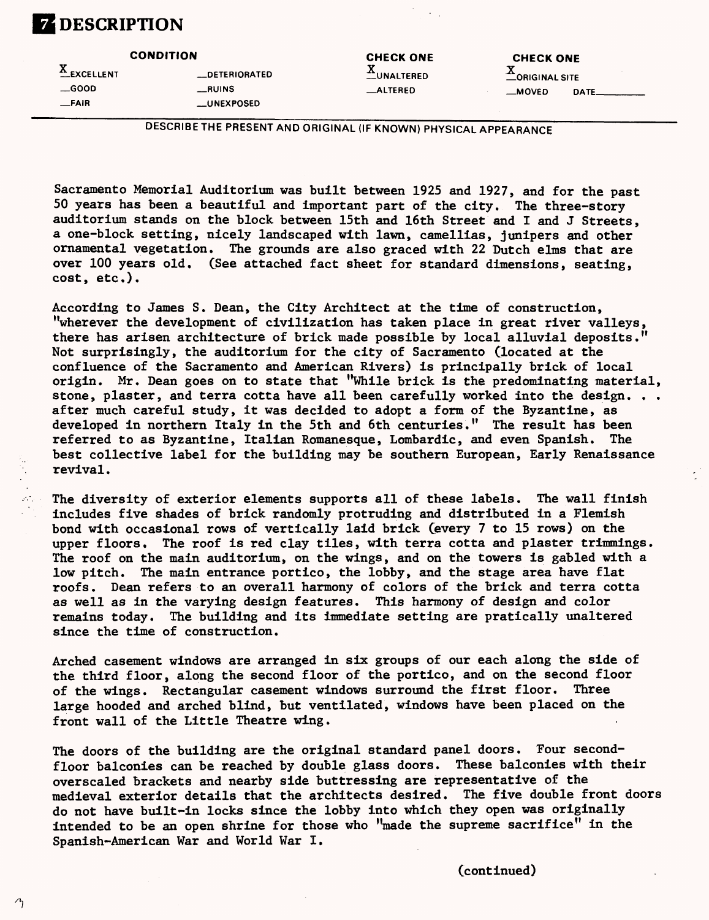# **Z** DESCRIPTION

| <b>CONDITION</b> |               | <b>CHECK ONE</b><br><b>CHECK ONE</b> |                       |       |  |
|------------------|---------------|--------------------------------------|-----------------------|-------|--|
| <b>EXCELLENT</b> | _DETERIORATED | <b>LUNALTERED</b>                    | <b>CORIGINAL SITE</b> |       |  |
| $\equiv$ GOOD    | __RUINS       | <b>_ALTERED</b>                      | __MOVED               | DATE. |  |
| _FAIR            | __UNEXPOSED_  |                                      |                       |       |  |

DESCRIBE THE PRESENT AND ORIGINAL (IF KNOWN) PHYSICAL APPEARANCE

Sacramento Memorial Auditorium was built between 1925 and 1927, and for the past 50 years has been a beautiful and important part of the city. The three-story auditorium stands on the block between 15th and 16th Street and I and J Streets, a one-block setting, nicely landscaped with lawn, camellias, junipers and other ornamental vegetation. The grounds are also graced with 22 Dutch elms that are over 100 years old. (See attached fact sheet for standard dimensions, seating, cost, etc.).

According to James S. Dean, the City Architect at the time of construction, "wherever the development of civilization has taken place in great river valleys, there has arisen architecture of brick made possible by local alluvial deposits." Not surprisingly, the auditorium for the city of Sacramento (located at the confluence of the Sacramento and American Rivers) is principally brick of local origin. Mr. Dean goes on to state that "While brick is the predominating material, stone, plaster, and terra cotta have all been carefully worked into the design... after much careful study, it was decided to adopt a form of the Byzantine, as developed in northern Italy in the 5th and 6th centuries." The result has been referred to as Byzantine, Italian Romanesque, Lombardic, and even Spanish. The best collective label for the building may be southern European, Early Renaissance revival.

The diversity of exterior elements supports all of these labels. The wall finish includes five shades of brick randomly protruding and distributed in a Flemish bond with occasional rows of vertically laid brick (every 7 to 15 rows) on the upper floors. The roof is red clay tiles, with terra cotta and plaster trimmings. The roof on the main auditorium, on the wings, and on the towers is gabled with a low pitch. The main entrance portico, the lobby, and the stage area have flat roofs. Dean refers to an overall harmony of colors of the brick and terra cotta as well as in the varying design features. This harmony of design and color remains today. The building and its immediate setting are pratically unaltered since the time of construction.

Arched casement windows are arranged in six groups of our each along the side of the third floor, along the second floor of the portico, and on the second floor of the wings. Rectangular casement windows surround the first floor. Three large hooded and arched blind, but ventilated, windows have been placed on the front wall of the Little Theatre wing.

The doors of the building are the original standard panel doors. Four secondfloor balconies can be reached by double glass doors. These balconies with their overscaled brackets and nearby side buttressing are representative of the medieval exterior details that the architects desired. The five double front doors do not have built-in locks since the lobby into which they open was originally intended to be an open shrine for those who "made the supreme sacrifice" in the Spanish-American War and World War I.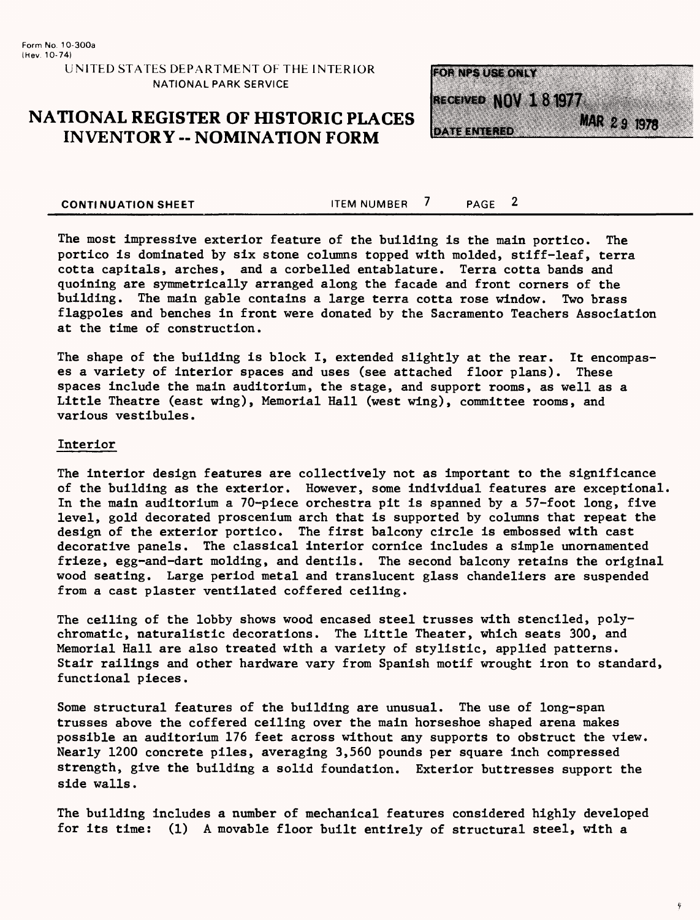## **NATIONAL REGISTER OF HISTORIC PLACES INVENTORY -- NOMINATION FORM**



**CONTINUATION SHEET** THEM NUMBER 7 PAGE 2

The most impressive exterior feature of the building is the main portico. The portico is dominated by six stone columns topped with molded, stiff-leaf, terra cotta capitals, arches, and a corbelled entablature. Terra cotta bands and quoining are symmetrically arranged along the facade and front corners of the building. The main gable contains a large terra cotta rose window. Two brass flagpoles and benches in front were donated by the Sacramento Teachers Association at the time of construction.

The shape of the building is block I, extended slightly at the rear. It encompases a variety of interior spaces and uses (see attached floor plans). These spaces include the main auditorium, the stage, and support rooms, as well as a Little Theatre (east wing), Memorial Hall (west wing), committee rooms, and various vestibules.

#### Interior

The interior design features are collectively not as important to the significance of the building as the exterior. However, some individual features are exceptional, In the main auditorium a 70-piece orchestra pit is spanned by a 57-foot long, five level, gold decorated proscenium arch that is supported by columns that repeat the design of the exterior portico. The first balcony circle is embossed with cast decorative panels. The classical interior cornice includes a simple unornamented frieze, egg-and-dart molding, and dentils. The second balcony retains the original wood seating. Large period metal and translucent glass chandeliers are suspended from a cast plaster ventilated coffered ceiling.

The ceiling of the lobby shows wood encased steel trusses with stenciled, polychromatic, naturalistic decorations. The Little Theater, which seats 300, and Memorial Hall are also treated with a variety of stylistic, applied patterns. Stair railings and other hardware vary from Spanish motif wrought iron to standard, functional pieces.

Some structural features of the building are unusual. The use of long-span trusses above the coffered ceiling over the main horseshoe shaped arena makes possible an auditorium 176 feet across without any supports to obstruct the view. Nearly 1200 concrete piles, averaging 3,560 pounds per square inch compressed strength, give the building a solid foundation. Exterior buttresses support the side walls.

The building includes a number of mechanical features considered highly developed for its time: (1) A movable floor built entirely of structural steel, with a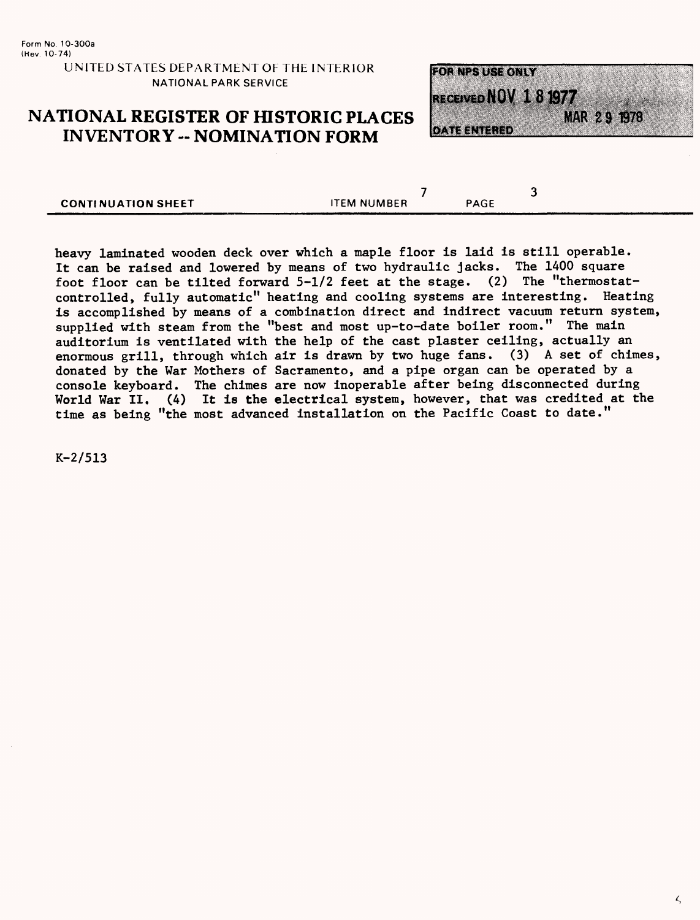## **NATIONAL REGISTER OF HISTORIC PLACES INVENTORY -- NOMINATION FORM**



| <b>CONTINUATION SHEET</b> | <b>ITEM NUMBER</b> | PAGE |
|---------------------------|--------------------|------|

heavy laminated wooden deck over which a maple floor is laid is still operable. It can be raised and lowered by means of two hydraulic jacks. The 1400 square foot floor can be tilted forward 5-1/2 feet at the stage. (2) The "thermostatcontrolled, fully automatic" heating and cooling systems are interesting. Heating is accomplished by means of a combination direct and indirect vacuum return system, supplied with steam from the "best and most up-to-date boiler room." The main auditorium is ventilated with the help of the cast plaster ceiling, actually an enormous grill, through which air is drawn by two huge fans. (3) A set of chimes, donated by the War Mothers of Sacramento, and a pipe organ can be operated by a console keyboard. The chimes are now inoperable after being disconnected during World War II. (4) It is the electrical system, however, that was credited at the time as being "the most advanced installation on the Pacific Coast to date."

K-2/513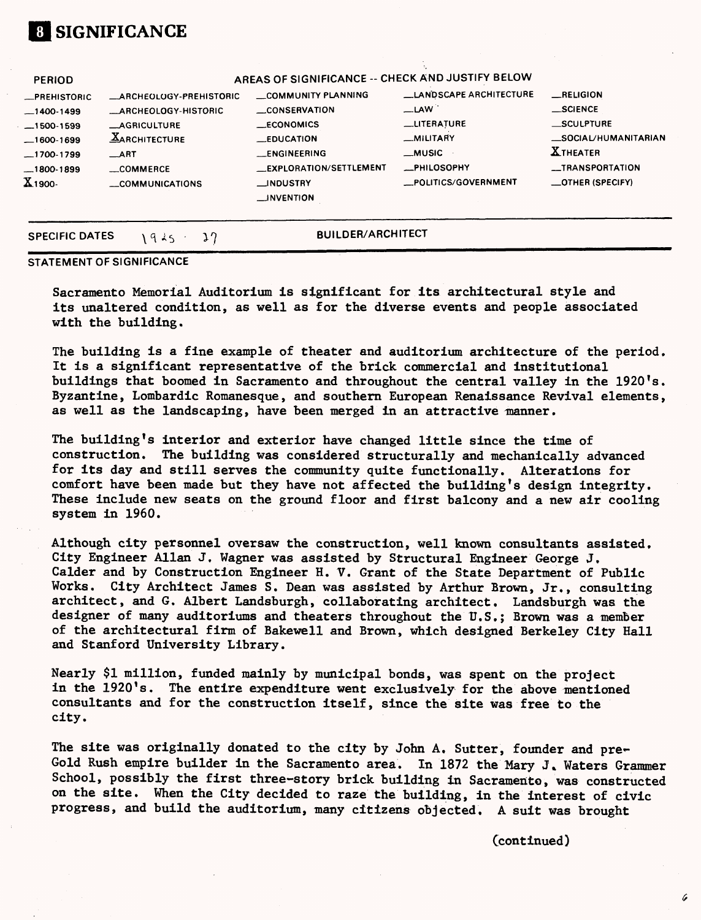

#### **STATEMENT OF SIGNIFICANCE**

Sacramento Memorial Auditorium is significant for its architectural style and its unaltered condition, as well as for the diverse events and people associated with the building.

The building is a fine example of theater and auditorium architecture of the period. It is a significant representative of the brick commercial and institutional buildings that boomed in Sacramento and throughout the central valley in the 1920's. Byzantine, Lombardic Romanesque, and southern European Renaissance Revival elements, as well as the landscaping, have been merged in an attractive manner.

The building's interior and exterior have changed little since the time of construction. The building was considered structurally and mechanically advanced for its day and still serves the community quite functionally. Alterations for comfort have been made but they have not affected the building's design integrity. These include new seats on the ground floor and first balcony and a new air cooling system in 1960.

Although city personnel oversaw the construction, well known consultants assisted. City Engineer Allan J, Wagner was assisted by Structural Engineer George J, Calder and by Construction Engineer H. V. Grant of the State Department of Public Works. City Architect James S. Dean was assisted by Arthur Brown, Jr., consulting architect, and G. Albert Landsburgh, collaborating architect. Landsburgh was the designer of many auditoriums and theaters throughout the U.S.; Brown was a member of the architectural firm of Bakewell and Brown, which designed Berkeley City Hall and Stanford University Library.

Nearly \$1 million, funded mainly by municipal bonds, was spent on the project in the 1920's. The entire expenditure went exclusively for the above mentioned consultants and for the construction itself, since the site was free to the city.

The site was originally donated to the city by John A. Sutter, founder and pre-Gold Rush empire builder in the Sacramento area. In 1872 the Mary J. Waters Grammer School, possibly the first three-story brick building in Sacramento, was constructed on the site. When the City decided to raze the building, in the interest of civic progress, and build the auditorium, many citizens objected. A suit was brought

Ccontinued)

6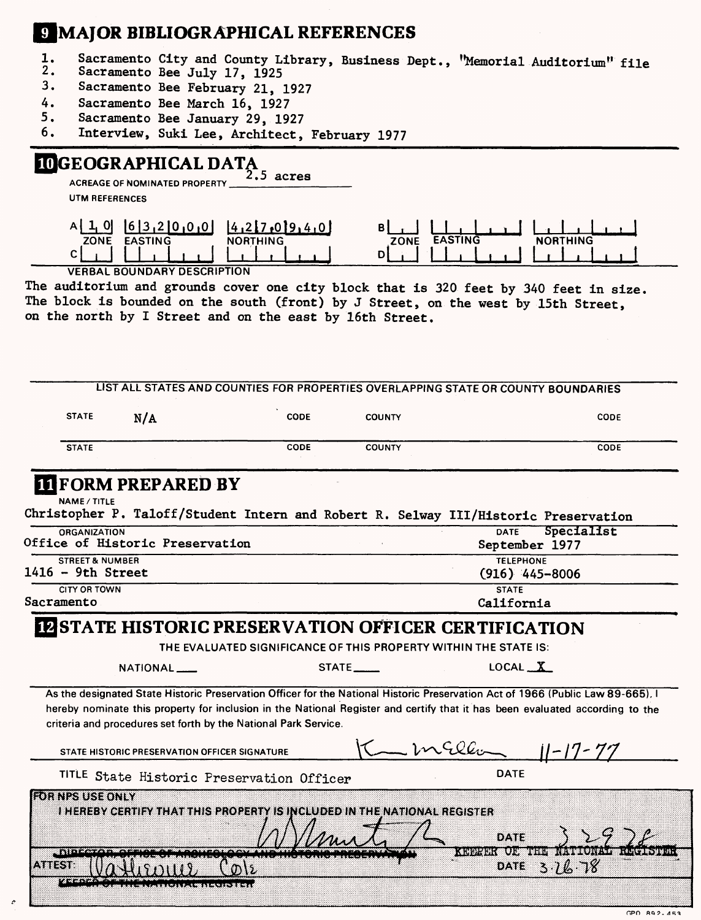# **9 MAJOR BIBLIOGRAPHICAL REFERENCES**

- 1. Sacramento City and County Library, Business Dept., "Memorial Auditorium" file<br>2. Sacramento Bee July 17, 1925
- Sacramento Bee July 17, 1925
- 3. Sacramento Bee February 21, 1927
- 4. Sacramento Bee March 16, 1927<br>5. Sacramento Bee January 29, 192
- Sacramento Bee January 29, 1927
- 6. Interview, Suki Lee, Architect, February 1977

## **DGEOGRAPHICAL DATA**

**ACCEPT OF ALL OF ALL ON A 2.5**<br>ACREAGE OF NOMINATED PROPERTY

**UTM REFERENCES**

| ZONE<br><b>EASTING</b> | <b>UINC</b><br><b>NORT</b> | <b>ZONE</b> |  |
|------------------------|----------------------------|-------------|--|
|                        |                            | -           |  |
|                        |                            |             |  |

VERBAL BOUNDARY DESCRIPTION

The auditorium and grounds cover one city block that is 320 feet by 340 feet in size, The block is bounded on the south (front) by J Street, on the west by 15th Street, on the north by I Street and on the east by 16th Street.

|                                                                                     | LIST ALL STATES AND COUNTIES FOR PROPERTIES OVERLAPPING STATE OR COUNTY BOUNDARIES |                                                             |                                                                                                                                                                                                                                                                 |
|-------------------------------------------------------------------------------------|------------------------------------------------------------------------------------|-------------------------------------------------------------|-----------------------------------------------------------------------------------------------------------------------------------------------------------------------------------------------------------------------------------------------------------------|
| <b>STATE</b><br>N/A                                                                 | <b>CODE</b>                                                                        | <b>COUNTY</b>                                               | CODE                                                                                                                                                                                                                                                            |
| <b>STATE</b>                                                                        | <b>CODE</b>                                                                        | <b>COUNTY</b>                                               | CODE                                                                                                                                                                                                                                                            |
| <b>III</b> FORM PREPARED BY<br><b>NAME / TITLE</b>                                  |                                                                                    |                                                             |                                                                                                                                                                                                                                                                 |
| Christopher P. Taloff/Student Intern and Robert R. Selway III/Historic Preservation |                                                                                    |                                                             |                                                                                                                                                                                                                                                                 |
| <b>ORGANIZATION</b><br>Office of Historic Preservation                              |                                                                                    |                                                             | Specialist<br><b>DATE</b><br>September 1977                                                                                                                                                                                                                     |
| <b>STREET &amp; NUMBER</b><br>$1416 - 9th$ Street                                   |                                                                                    | <b>TELEPHONE</b><br>$(916)$ 445-8006                        |                                                                                                                                                                                                                                                                 |
| <b>CITY OR TOWN</b><br><b>STATE</b><br>Sacramento                                   |                                                                                    |                                                             | California                                                                                                                                                                                                                                                      |
|                                                                                     |                                                                                    |                                                             |                                                                                                                                                                                                                                                                 |
|                                                                                     |                                                                                    | <b>IN STATE HISTORIC PRESERVATION OFFICER CERTIFICATION</b> |                                                                                                                                                                                                                                                                 |
|                                                                                     | THE EVALUATED SIGNIFICANCE OF THIS PROPERTY WITHIN THE STATE IS:                   |                                                             |                                                                                                                                                                                                                                                                 |
| NATIONAL <sub>--</sub>                                                              |                                                                                    | STATE_____                                                  | $LOCAL \_X$                                                                                                                                                                                                                                                     |
|                                                                                     | criteria and procedures set forth by the National Park Service.                    |                                                             | As the designated State Historic Preservation Officer for the National Historic Preservation Act of 1966 (Public Law 89-665), I<br>hereby nominate this property for inclusion in the National Register and certify that it has been evaluated according to the |
| STATE HISTORIC PRESERVATION OFFICER SIGNATURE                                       |                                                                                    |                                                             | $K = mcQc$ $  -17-77$                                                                                                                                                                                                                                           |
|                                                                                     | TITLE State Historic Preservation Officer                                          |                                                             | <b>DATE</b>                                                                                                                                                                                                                                                     |
| <b>ROB NPS USE ONLY</b>                                                             | I HEREBY CERTIFY THAT THIS PROPERTY IS INCLUDED IN THE NATIONAL REGISTER           |                                                             |                                                                                                                                                                                                                                                                 |
| $D$ lec $\sim$                                                                      |                                                                                    |                                                             | DATE<br><b>CONDITIONS COLORES SERVICE OF</b>                                                                                                                                                                                                                    |
| 893398                                                                              |                                                                                    |                                                             | 3.76.78<br><b>DATE</b>                                                                                                                                                                                                                                          |

GPO 892-453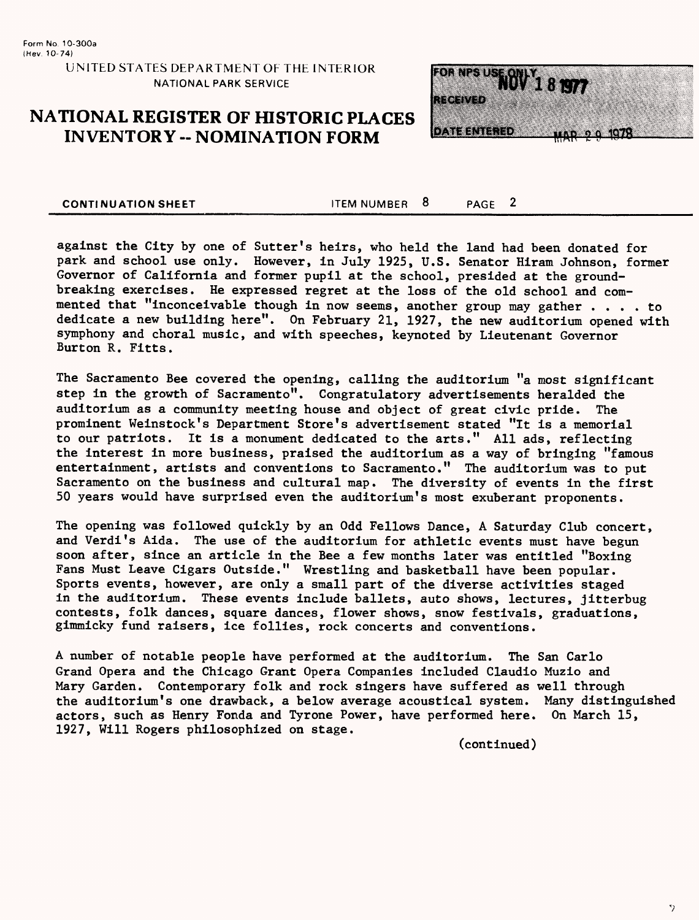## **NATIONAL REGISTER OF HISTORIC PLACES INVENTORY -- NOMINATION FORM**



**CONTINUATION SHEET** TEM NUMBER 8 PAGE 2

against the City by one of Sutter's heirs, who held the land had been donated for park and school use only. However, in July 1925, U.S. Senator Hiram Johnson, former Governor of California and former pupil at the school, presided at the groundbreaking exercises. He expressed regret at the loss of the old school and commented that "inconceivable though in now seems, another group may gather . . . . to dedicate a new building here". On February 21, 1927, the new auditorium opened with symphony and choral music, and with speeches, keynoted by Lieutenant Governor Burton R. Fitts.

The Sacramento Bee covered the opening, calling the auditorium "a most significant step in the growth of Sacramento". Congratulatory advertisements heralded the auditorium as a community meeting house and object of great civic pride. The prominent Weinstock's Department Store's advertisement stated "It is a memorial to our patriots. It is a monument dedicated to the arts." All ads, reflecting the interest in more business, praised the auditorium as a way of bringing "famous entertainment, artists and conventions to Sacramento." The auditorium was to put Sacramento on the business and cultural map. The diversity of events in the first 50 years would have surprised even the auditorium's most exuberant proponents.

The opening was followed quickly by an Odd Fellows Dance, A Saturday Club concert, and Verdi's Aida. The use of the auditorium for athletic events must have begun soon after, since an article in the Bee a few months later was entitled "Boxing Fans Must Leave Cigars Outside." Wrestling and basketball have been popular. Sports events, however, are only a small part of the diverse activities staged in the auditorium. These events include ballets, auto shows, lectures, jitterbug contests, folk dances, square dances, flower shows, snow festivals, graduations, gimmicky fund raisers, ice follies, rock concerts and conventions.

A number of notable people have performed at the auditorium. The San Carlo Grand Opera and the Chicago Grant Opera Companies included Claudio Muzio and Mary Garden. Contemporary folk and rock singers have suffered as well through the auditorium's one drawback, a below average acoustical system. Many distinguished actors, such as Henry Fonda and Tyrone Power, have performed here. On March 15, 1927, Will Rogers philosophized on stage.

(continued)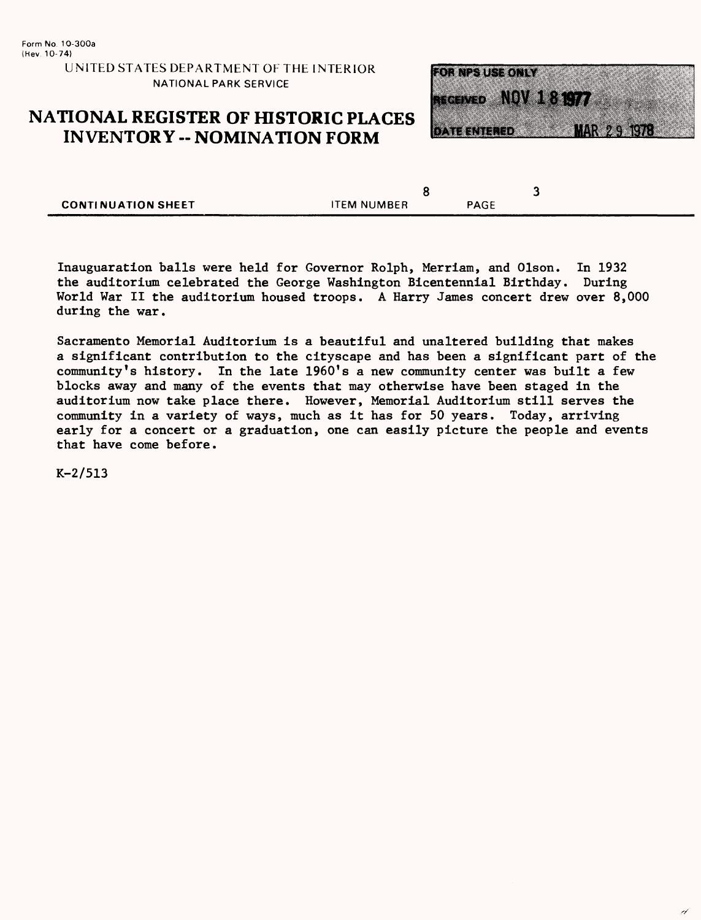## **NATIONAL REGISTER OF HISTORIC PLACES INVENTORY - NOMINATION FORM**



|                           |                    |             | - |
|---------------------------|--------------------|-------------|---|
| <b>CONTINUATION SHEET</b> | <b>ITEM NUMBER</b> | <b>PAGE</b> |   |

Inauguaration balls were held for Governor Rolph, Merriam, and Olson. In 1932 the auditorium celebrated the George Washington Bicentennial Birthday. During World War II the auditorium housed troops. A Harry James concert drew over 8,000 during the war.

Sacramento Memorial Auditorium is a beautiful and unaltered building that makes a significant contribution to the cityscape and has been a significant part of the community's history. In the late 1960's a new community center was built a few blocks away and many of the events that may otherwise have been staged in the auditorium now take place there. However, Memorial Auditorium still serves the community in a variety of ways, much as it has for 50 years. Today, arriving early for a concert or a graduation, one can easily picture the people and events that have come before.

K-2/513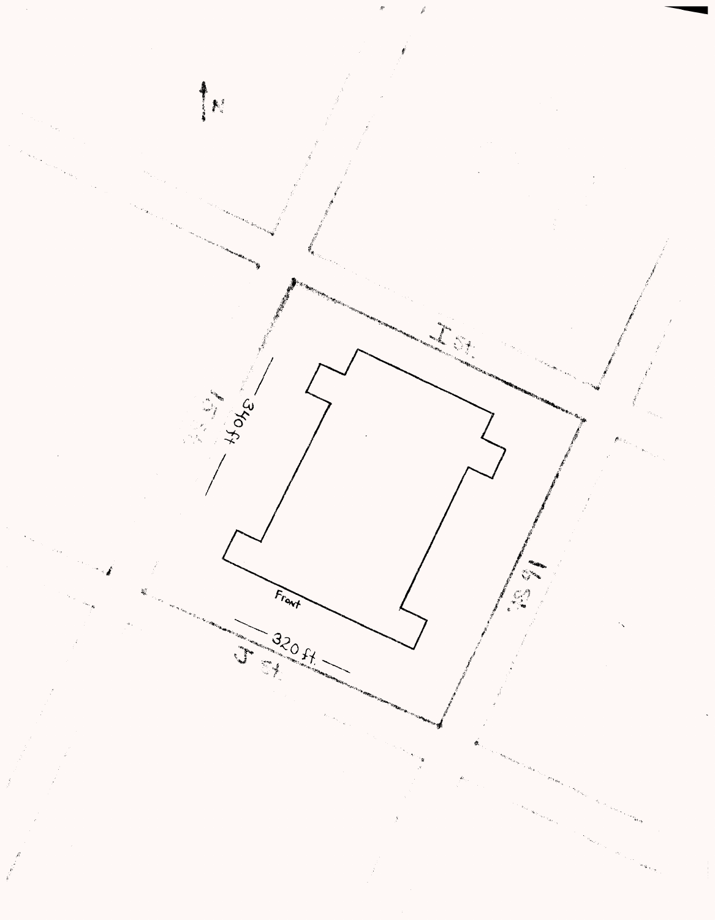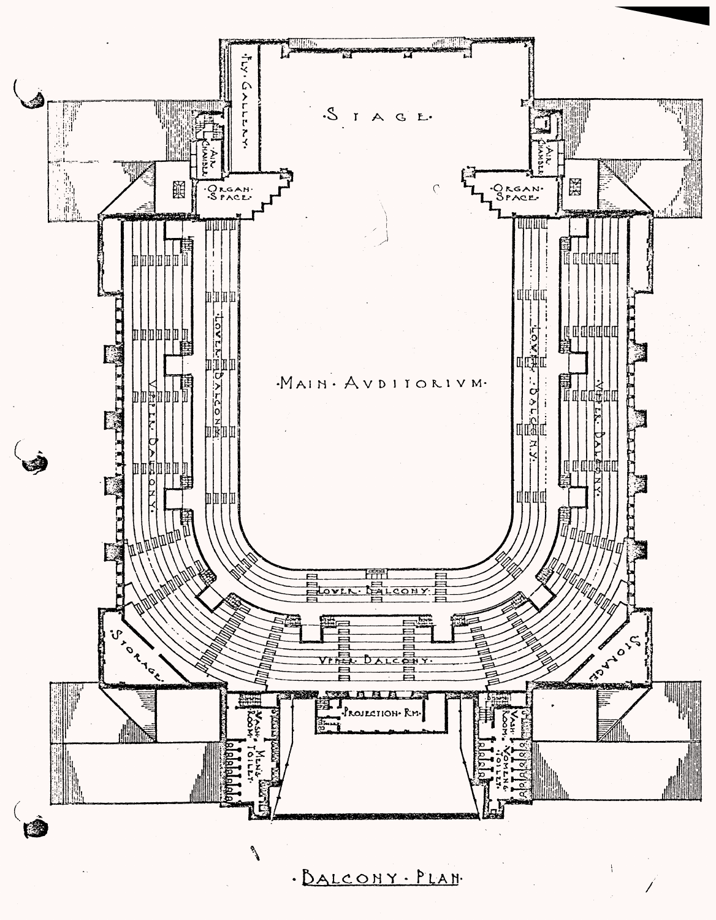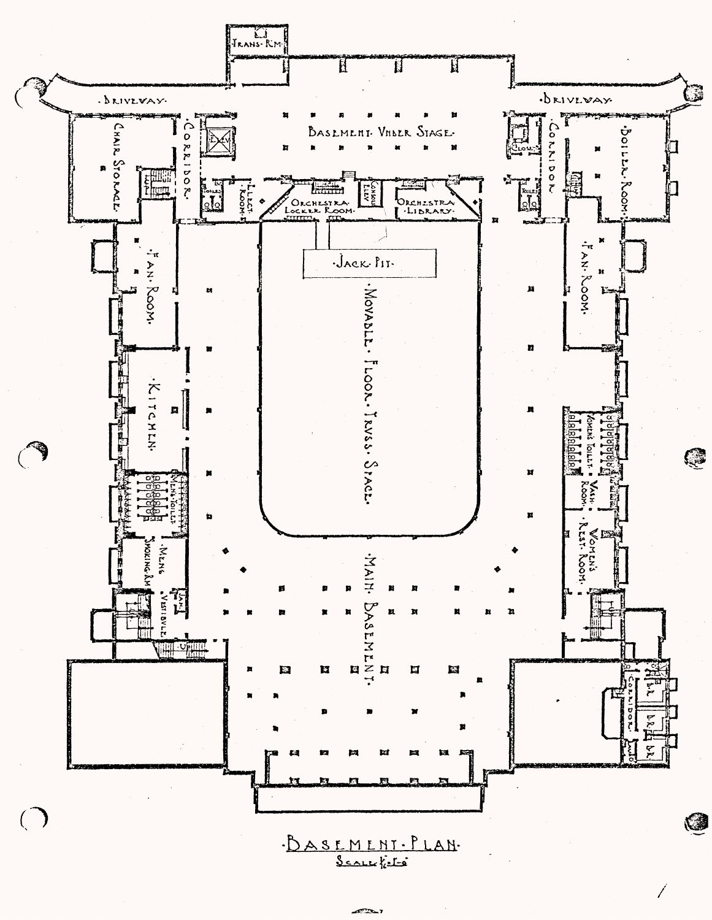

 $\overline{f}$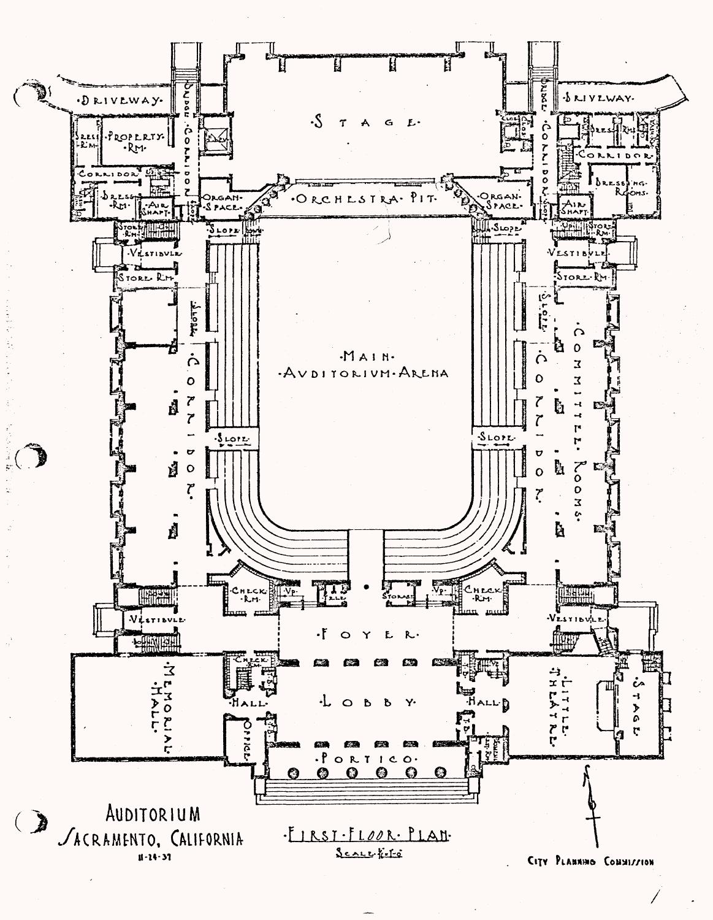